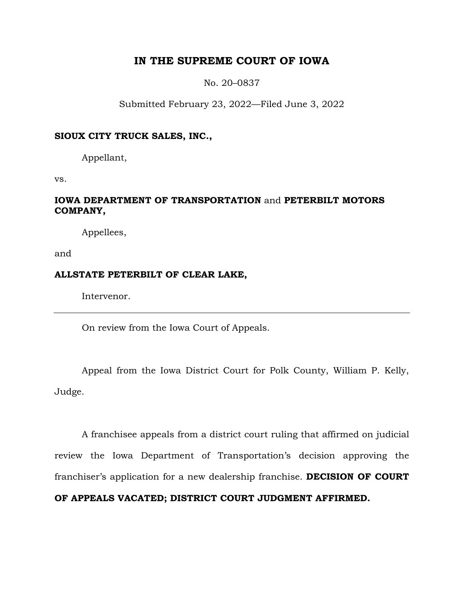# **IN THE SUPREME COURT OF IOWA**

No. 20–0837

Submitted February 23, 2022—Filed June 3, 2022

### **SIOUX CITY TRUCK SALES, INC.,**

Appellant,

vs.

# **IOWA DEPARTMENT OF TRANSPORTATION** and **PETERBILT MOTORS COMPANY,**

Appellees,

and

## **ALLSTATE PETERBILT OF CLEAR LAKE,**

Intervenor.

On review from the Iowa Court of Appeals.

Appeal from the Iowa District Court for Polk County, William P. Kelly, Judge.

A franchisee appeals from a district court ruling that affirmed on judicial review the Iowa Department of Transportation's decision approving the franchiser's application for a new dealership franchise. **DECISION OF COURT OF APPEALS VACATED; DISTRICT COURT JUDGMENT AFFIRMED.**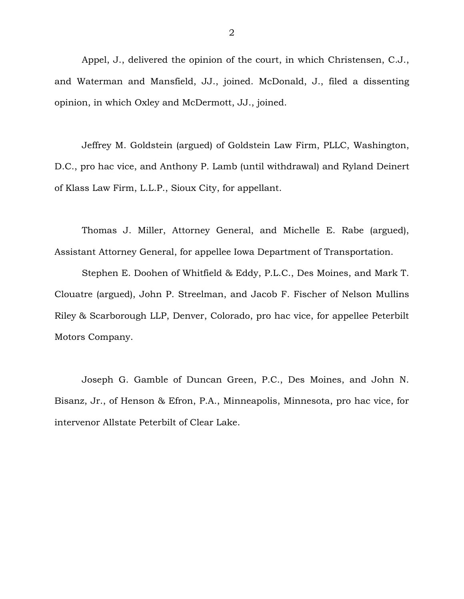Appel, J., delivered the opinion of the court, in which Christensen, C.J., and Waterman and Mansfield, JJ., joined. McDonald, J., filed a dissenting opinion, in which Oxley and McDermott, JJ., joined.

Jeffrey M. Goldstein (argued) of Goldstein Law Firm, PLLC, Washington, D.C., pro hac vice, and Anthony P. Lamb (until withdrawal) and Ryland Deinert of Klass Law Firm, L.L.P., Sioux City, for appellant.

Thomas J. Miller, Attorney General, and Michelle E. Rabe (argued), Assistant Attorney General, for appellee Iowa Department of Transportation.

Stephen E. Doohen of Whitfield & Eddy, P.L.C., Des Moines, and Mark T. Clouatre (argued), John P. Streelman, and Jacob F. Fischer of Nelson Mullins Riley & Scarborough LLP, Denver, Colorado, pro hac vice, for appellee Peterbilt Motors Company.

Joseph G. Gamble of Duncan Green, P.C., Des Moines, and John N. Bisanz, Jr., of Henson & Efron, P.A., Minneapolis, Minnesota, pro hac vice, for intervenor Allstate Peterbilt of Clear Lake.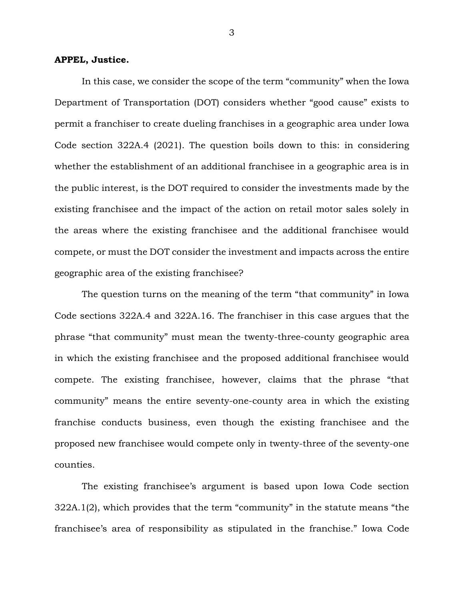#### **APPEL, Justice.**

In this case, we consider the scope of the term "community" when the Iowa Department of Transportation (DOT) considers whether "good cause" exists to permit a franchiser to create dueling franchises in a geographic area under Iowa Code section 322A.4 (2021). The question boils down to this: in considering whether the establishment of an additional franchisee in a geographic area is in the public interest, is the DOT required to consider the investments made by the existing franchisee and the impact of the action on retail motor sales solely in the areas where the existing franchisee and the additional franchisee would compete, or must the DOT consider the investment and impacts across the entire geographic area of the existing franchisee?

The question turns on the meaning of the term "that community" in Iowa Code sections 322A.4 and 322A.16. The franchiser in this case argues that the phrase "that community" must mean the twenty-three-county geographic area in which the existing franchisee and the proposed additional franchisee would compete. The existing franchisee, however, claims that the phrase "that community" means the entire seventy-one-county area in which the existing franchise conducts business, even though the existing franchisee and the proposed new franchisee would compete only in twenty-three of the seventy-one counties.

The existing franchisee's argument is based upon Iowa Code section 322A.1(2), which provides that the term "community" in the statute means "the franchisee's area of responsibility as stipulated in the franchise." Iowa Code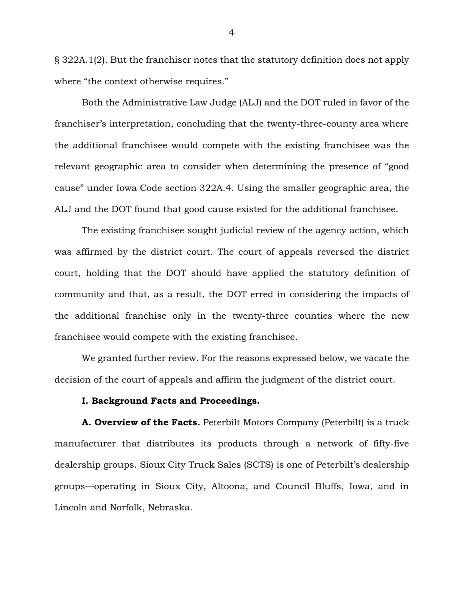§ 322A.1(2). But the franchiser notes that the statutory definition does not apply where "the context otherwise requires."

Both the Administrative Law Judge (ALJ) and the DOT ruled in favor of the franchiser's interpretation, concluding that the twenty-three-county area where the additional franchisee would compete with the existing franchisee was the relevant geographic area to consider when determining the presence of "good cause" under Iowa Code section 322A.4. Using the smaller geographic area, the ALJ and the DOT found that good cause existed for the additional franchisee.

The existing franchisee sought judicial review of the agency action, which was affirmed by the district court. The court of appeals reversed the district court, holding that the DOT should have applied the statutory definition of community and that, as a result, the DOT erred in considering the impacts of the additional franchise only in the twenty-three counties where the new franchisee would compete with the existing franchisee.

We granted further review. For the reasons expressed below, we vacate the decision of the court of appeals and affirm the judgment of the district court.

#### **I. Background Facts and Proceedings.**

**A. Overview of the Facts.** Peterbilt Motors Company (Peterbilt) is a truck manufacturer that distributes its products through a network of fifty-five dealership groups. Sioux City Truck Sales (SCTS) is one of Peterbilt's dealership groups—operating in Sioux City, Altoona, and Council Bluffs, Iowa, and in Lincoln and Norfolk, Nebraska.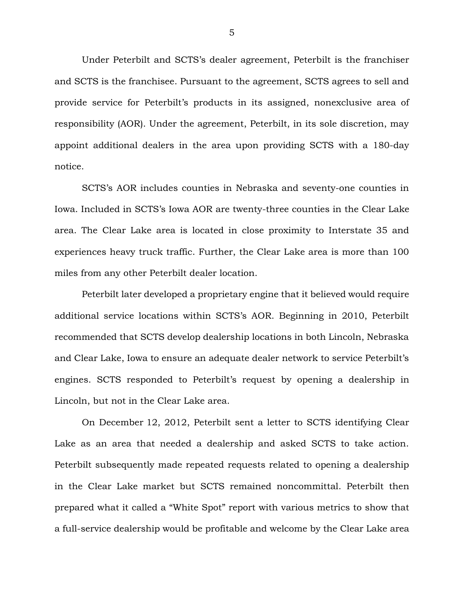Under Peterbilt and SCTS's dealer agreement, Peterbilt is the franchiser and SCTS is the franchisee. Pursuant to the agreement, SCTS agrees to sell and provide service for Peterbilt's products in its assigned, nonexclusive area of responsibility (AOR). Under the agreement, Peterbilt, in its sole discretion, may appoint additional dealers in the area upon providing SCTS with a 180-day notice.

SCTS's AOR includes counties in Nebraska and seventy-one counties in Iowa. Included in SCTS's Iowa AOR are twenty-three counties in the Clear Lake area. The Clear Lake area is located in close proximity to Interstate 35 and experiences heavy truck traffic. Further, the Clear Lake area is more than 100 miles from any other Peterbilt dealer location.

Peterbilt later developed a proprietary engine that it believed would require additional service locations within SCTS's AOR. Beginning in 2010, Peterbilt recommended that SCTS develop dealership locations in both Lincoln, Nebraska and Clear Lake, Iowa to ensure an adequate dealer network to service Peterbilt's engines. SCTS responded to Peterbilt's request by opening a dealership in Lincoln, but not in the Clear Lake area.

On December 12, 2012, Peterbilt sent a letter to SCTS identifying Clear Lake as an area that needed a dealership and asked SCTS to take action. Peterbilt subsequently made repeated requests related to opening a dealership in the Clear Lake market but SCTS remained noncommittal. Peterbilt then prepared what it called a "White Spot" report with various metrics to show that a full-service dealership would be profitable and welcome by the Clear Lake area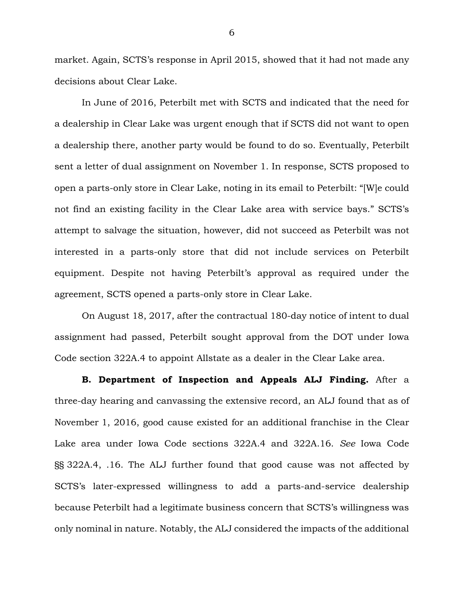market. Again, SCTS's response in April 2015, showed that it had not made any decisions about Clear Lake.

In June of 2016, Peterbilt met with SCTS and indicated that the need for a dealership in Clear Lake was urgent enough that if SCTS did not want to open a dealership there, another party would be found to do so. Eventually, Peterbilt sent a letter of dual assignment on November 1. In response, SCTS proposed to open a parts-only store in Clear Lake, noting in its email to Peterbilt: "[W]e could not find an existing facility in the Clear Lake area with service bays." SCTS's attempt to salvage the situation, however, did not succeed as Peterbilt was not interested in a parts-only store that did not include services on Peterbilt equipment. Despite not having Peterbilt's approval as required under the agreement, SCTS opened a parts-only store in Clear Lake.

On August 18, 2017, after the contractual 180-day notice of intent to dual assignment had passed, Peterbilt sought approval from the DOT under Iowa Code section 322A.4 to appoint Allstate as a dealer in the Clear Lake area.

**B. Department of Inspection and Appeals ALJ Finding.** After a three-day hearing and canvassing the extensive record, an ALJ found that as of November 1, 2016, good cause existed for an additional franchise in the Clear Lake area under Iowa Code sections 322A.4 and 322A.16. *See* Iowa Code §§ 322A.4, .16. The ALJ further found that good cause was not affected by SCTS's later-expressed willingness to add a parts-and-service dealership because Peterbilt had a legitimate business concern that SCTS's willingness was only nominal in nature. Notably, the ALJ considered the impacts of the additional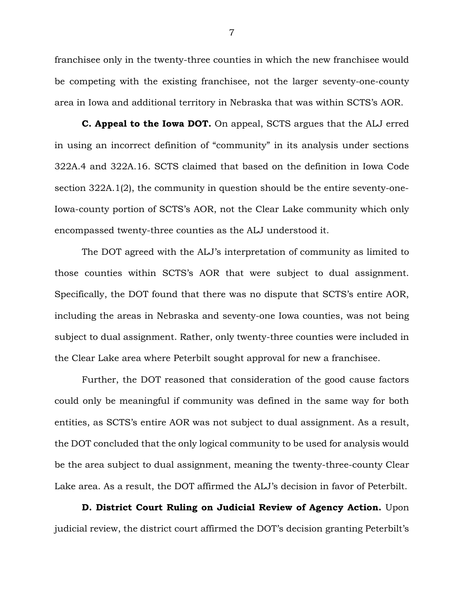franchisee only in the twenty-three counties in which the new franchisee would be competing with the existing franchisee, not the larger seventy-one-county area in Iowa and additional territory in Nebraska that was within SCTS's AOR.

**C. Appeal to the Iowa DOT.** On appeal, SCTS argues that the ALJ erred in using an incorrect definition of "community" in its analysis under sections 322A.4 and 322A.16. SCTS claimed that based on the definition in Iowa Code section 322A.1(2), the community in question should be the entire seventy-one-Iowa-county portion of SCTS's AOR, not the Clear Lake community which only encompassed twenty-three counties as the ALJ understood it.

The DOT agreed with the ALJ's interpretation of community as limited to those counties within SCTS's AOR that were subject to dual assignment. Specifically, the DOT found that there was no dispute that SCTS's entire AOR, including the areas in Nebraska and seventy-one Iowa counties, was not being subject to dual assignment. Rather, only twenty-three counties were included in the Clear Lake area where Peterbilt sought approval for new a franchisee.

Further, the DOT reasoned that consideration of the good cause factors could only be meaningful if community was defined in the same way for both entities, as SCTS's entire AOR was not subject to dual assignment. As a result, the DOT concluded that the only logical community to be used for analysis would be the area subject to dual assignment, meaning the twenty-three-county Clear Lake area. As a result, the DOT affirmed the ALJ's decision in favor of Peterbilt.

**D. District Court Ruling on Judicial Review of Agency Action.** Upon judicial review, the district court affirmed the DOT's decision granting Peterbilt's

7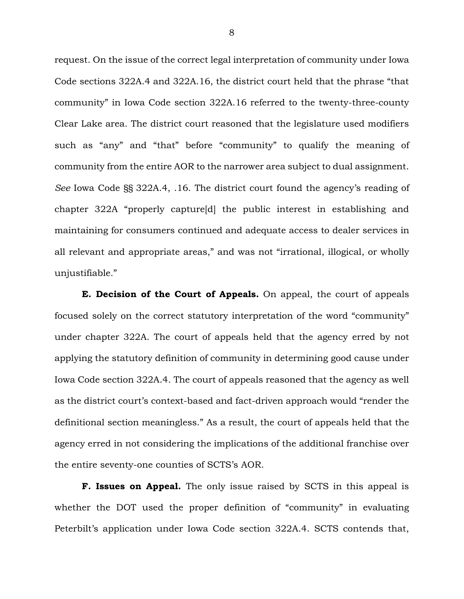request. On the issue of the correct legal interpretation of community under Iowa Code sections 322A.4 and 322A.16, the district court held that the phrase "that community" in Iowa Code section 322A.16 referred to the twenty-three-county Clear Lake area. The district court reasoned that the legislature used modifiers such as "any" and "that" before "community" to qualify the meaning of community from the entire AOR to the narrower area subject to dual assignment. *See* Iowa Code §§ 322A.4, .16. The district court found the agency's reading of chapter 322A "properly capture[d] the public interest in establishing and maintaining for consumers continued and adequate access to dealer services in all relevant and appropriate areas," and was not "irrational, illogical, or wholly unjustifiable."

**E. Decision of the Court of Appeals.** On appeal, the court of appeals focused solely on the correct statutory interpretation of the word "community" under chapter 322A. The court of appeals held that the agency erred by not applying the statutory definition of community in determining good cause under Iowa Code section 322A.4. The court of appeals reasoned that the agency as well as the district court's context-based and fact-driven approach would "render the definitional section meaningless." As a result, the court of appeals held that the agency erred in not considering the implications of the additional franchise over the entire seventy-one counties of SCTS's AOR.

**F. Issues on Appeal.** The only issue raised by SCTS in this appeal is whether the DOT used the proper definition of "community" in evaluating Peterbilt's application under Iowa Code section 322A.4. SCTS contends that,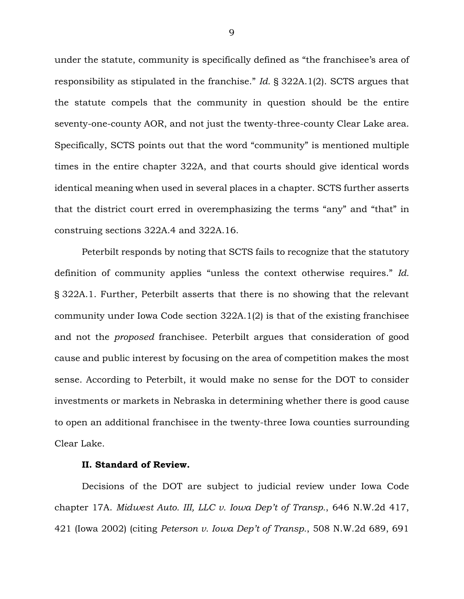under the statute, community is specifically defined as "the franchisee's area of responsibility as stipulated in the franchise." *Id.* § 322A.1(2). SCTS argues that the statute compels that the community in question should be the entire seventy-one-county AOR, and not just the twenty-three-county Clear Lake area. Specifically, SCTS points out that the word "community" is mentioned multiple times in the entire chapter 322A, and that courts should give identical words identical meaning when used in several places in a chapter. SCTS further asserts that the district court erred in overemphasizing the terms "any" and "that" in construing sections 322A.4 and 322A.16.

Peterbilt responds by noting that SCTS fails to recognize that the statutory definition of community applies "unless the context otherwise requires." *Id.* § 322A.1. Further, Peterbilt asserts that there is no showing that the relevant community under Iowa Code section 322A.1(2) is that of the existing franchisee and not the *proposed* franchisee. Peterbilt argues that consideration of good cause and public interest by focusing on the area of competition makes the most sense. According to Peterbilt, it would make no sense for the DOT to consider investments or markets in Nebraska in determining whether there is good cause to open an additional franchisee in the twenty-three Iowa counties surrounding Clear Lake.

#### **II. Standard of Review.**

Decisions of the DOT are subject to judicial review under Iowa Code chapter 17A. *Midwest Auto. III, LLC v. Iowa Dep't of Transp.*, 646 N.W.2d 417, 421 (Iowa 2002) (citing *Peterson v. Iowa Dep't of Transp.*, 508 N.W.2d 689, 691

9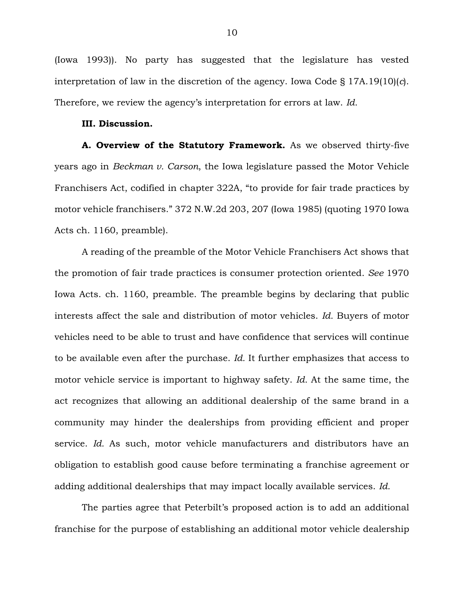(Iowa 1993)). No party has suggested that the legislature has vested interpretation of law in the discretion of the agency. Iowa Code § 17A.19(10)(*c*). Therefore, we review the agency's interpretation for errors at law. *Id.*

#### **III. Discussion.**

**A. Overview of the Statutory Framework.** As we observed thirty-five years ago in *Beckman v. Carson*, the Iowa legislature passed the Motor Vehicle Franchisers Act, codified in chapter 322A, "to provide for fair trade practices by motor vehicle franchisers." 372 N.W.2d 203, 207 (Iowa 1985) (quoting 1970 Iowa Acts ch. 1160, preamble).

A reading of the preamble of the Motor Vehicle Franchisers Act shows that the promotion of fair trade practices is consumer protection oriented. *See* 1970 Iowa Acts. ch. 1160, preamble. The preamble begins by declaring that public interests affect the sale and distribution of motor vehicles. *Id.* Buyers of motor vehicles need to be able to trust and have confidence that services will continue to be available even after the purchase. *Id.* It further emphasizes that access to motor vehicle service is important to highway safety. *Id.* At the same time, the act recognizes that allowing an additional dealership of the same brand in a community may hinder the dealerships from providing efficient and proper service. *Id.* As such, motor vehicle manufacturers and distributors have an obligation to establish good cause before terminating a franchise agreement or adding additional dealerships that may impact locally available services. *Id.*

The parties agree that Peterbilt's proposed action is to add an additional franchise for the purpose of establishing an additional motor vehicle dealership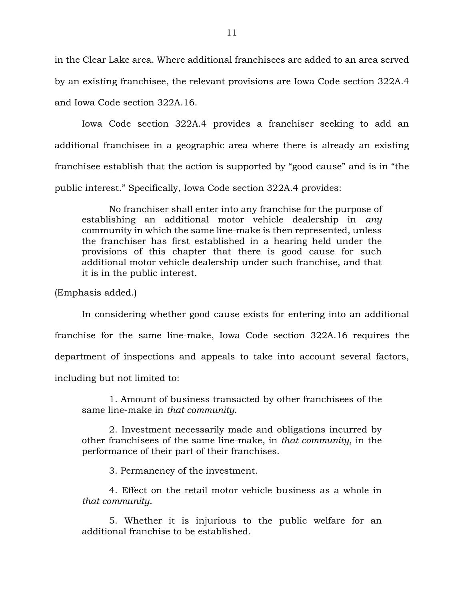in the Clear Lake area. Where additional franchisees are added to an area served by an existing franchisee, the relevant provisions are Iowa Code section 322A.4 and Iowa Code section 322A.16.

Iowa Code section 322A.4 provides a franchiser seeking to add an additional franchisee in a geographic area where there is already an existing franchisee establish that the action is supported by "good cause" and is in "the public interest." Specifically, Iowa Code section 322A.4 provides:

No franchiser shall enter into any franchise for the purpose of establishing an additional motor vehicle dealership in *any* community in which the same line-make is then represented, unless the franchiser has first established in a hearing held under the provisions of this chapter that there is good cause for such additional motor vehicle dealership under such franchise, and that it is in the public interest.

(Emphasis added.)

In considering whether good cause exists for entering into an additional franchise for the same line-make, Iowa Code section 322A.16 requires the department of inspections and appeals to take into account several factors, including but not limited to:

1. Amount of business transacted by other franchisees of the same line-make in *that community*.

2. Investment necessarily made and obligations incurred by other franchisees of the same line-make, in *that community*, in the performance of their part of their franchises.

3. Permanency of the investment.

4. Effect on the retail motor vehicle business as a whole in *that community*.

5. Whether it is injurious to the public welfare for an additional franchise to be established.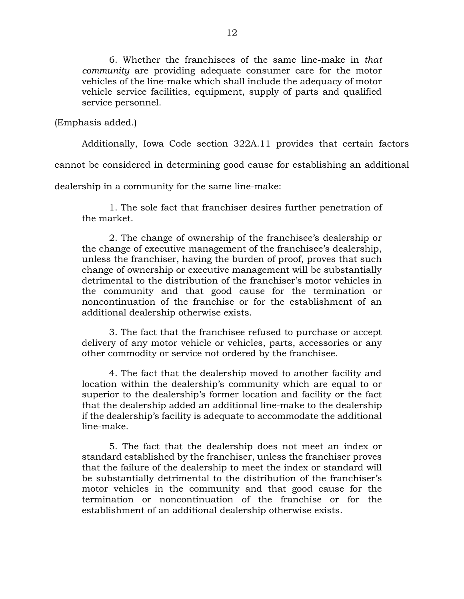6. Whether the franchisees of the same line-make in *that community* are providing adequate consumer care for the motor vehicles of the line-make which shall include the adequacy of motor vehicle service facilities, equipment, supply of parts and qualified service personnel.

(Emphasis added.)

Additionally, Iowa Code section 322A.11 provides that certain factors

cannot be considered in determining good cause for establishing an additional

dealership in a community for the same line-make:

1. The sole fact that franchiser desires further penetration of the market.

2. The change of ownership of the franchisee's dealership or the change of executive management of the franchisee's dealership, unless the franchiser, having the burden of proof, proves that such change of ownership or executive management will be substantially detrimental to the distribution of the franchiser's motor vehicles in the community and that good cause for the termination or noncontinuation of the franchise or for the establishment of an additional dealership otherwise exists.

3. The fact that the franchisee refused to purchase or accept delivery of any motor vehicle or vehicles, parts, accessories or any other commodity or service not ordered by the franchisee.

4. The fact that the dealership moved to another facility and location within the dealership's community which are equal to or superior to the dealership's former location and facility or the fact that the dealership added an additional line-make to the dealership if the dealership's facility is adequate to accommodate the additional line-make.

5. The fact that the dealership does not meet an index or standard established by the franchiser, unless the franchiser proves that the failure of the dealership to meet the index or standard will be substantially detrimental to the distribution of the franchiser's motor vehicles in the community and that good cause for the termination or noncontinuation of the franchise or for the establishment of an additional dealership otherwise exists.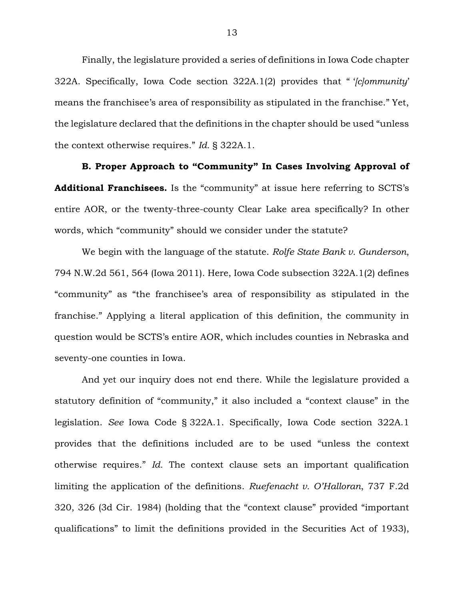Finally, the legislature provided a series of definitions in Iowa Code chapter 322A. Specifically, Iowa Code section 322A.1(2) provides that " '*[c]ommunity*' means the franchisee's area of responsibility as stipulated in the franchise." Yet, the legislature declared that the definitions in the chapter should be used "unless the context otherwise requires." *Id.* § 322A.1.

**B. Proper Approach to "Community" In Cases Involving Approval of Additional Franchisees.** Is the "community" at issue here referring to SCTS's entire AOR, or the twenty-three-county Clear Lake area specifically? In other words, which "community" should we consider under the statute?

We begin with the language of the statute. *Rolfe State Bank v. Gunderson*, 794 N.W.2d 561, 564 (Iowa 2011). Here, Iowa Code subsection 322A.1(2) defines "community" as "the franchisee's area of responsibility as stipulated in the franchise." Applying a literal application of this definition, the community in question would be SCTS's entire AOR, which includes counties in Nebraska and seventy-one counties in Iowa.

And yet our inquiry does not end there. While the legislature provided a statutory definition of "community," it also included a "context clause" in the legislation. *See* Iowa Code § 322A.1. Specifically, Iowa Code section 322A.1 provides that the definitions included are to be used "unless the context otherwise requires." *Id.* The context clause sets an important qualification limiting the application of the definitions. *Ruefenacht v. O'Halloran*, 737 F.2d 320, 326 (3d Cir. 1984) (holding that the "context clause" provided "important qualifications" to limit the definitions provided in the Securities Act of 1933),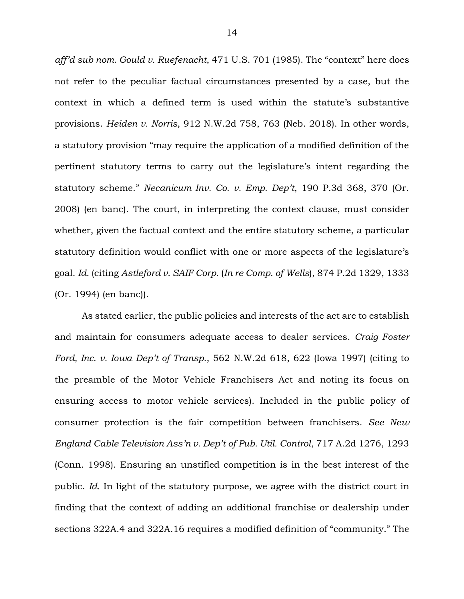*aff'd sub nom. Gould v. Ruefenacht*, 471 U.S. 701 (1985). The "context" here does not refer to the peculiar factual circumstances presented by a case, but the context in which a defined term is used within the statute's substantive provisions. *Heiden v. Norris*, 912 N.W.2d 758, 763 (Neb. 2018). In other words, a statutory provision "may require the application of a modified definition of the pertinent statutory terms to carry out the legislature's intent regarding the statutory scheme." *Necanicum Inv. Co. v. Emp. Dep't*, 190 P.3d 368, 370 (Or. 2008) (en banc). The court, in interpreting the context clause, must consider whether, given the factual context and the entire statutory scheme, a particular statutory definition would conflict with one or more aspects of the legislature's goal. *Id.* (citing *Astleford v. SAIF Corp.* (*In re Comp. of Wells*), 874 P.2d 1329, 1333 (Or. 1994) (en banc)).

As stated earlier, the public policies and interests of the act are to establish and maintain for consumers adequate access to dealer services. *Craig Foster Ford, Inc. v. Iowa Dep't of Transp.*, 562 N.W.2d 618, 622 (Iowa 1997) (citing to the preamble of the Motor Vehicle Franchisers Act and noting its focus on ensuring access to motor vehicle services). Included in the public policy of consumer protection is the fair competition between franchisers. *See New England Cable Television Ass'n v. Dep't of Pub. Util. Control*, 717 A.2d 1276, 1293 (Conn. 1998). Ensuring an unstifled competition is in the best interest of the public. *Id.* In light of the statutory purpose, we agree with the district court in finding that the context of adding an additional franchise or dealership under sections 322A.4 and 322A.16 requires a modified definition of "community." The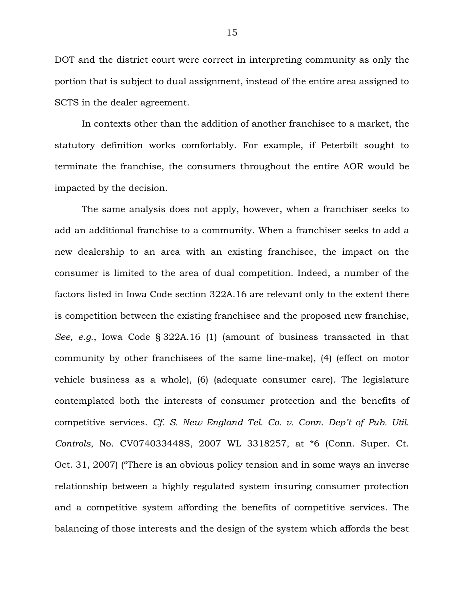DOT and the district court were correct in interpreting community as only the portion that is subject to dual assignment, instead of the entire area assigned to SCTS in the dealer agreement.

In contexts other than the addition of another franchisee to a market, the statutory definition works comfortably. For example, if Peterbilt sought to terminate the franchise, the consumers throughout the entire AOR would be impacted by the decision.

The same analysis does not apply, however, when a franchiser seeks to add an additional franchise to a community. When a franchiser seeks to add a new dealership to an area with an existing franchisee, the impact on the consumer is limited to the area of dual competition. Indeed, a number of the factors listed in Iowa Code section 322A.16 are relevant only to the extent there is competition between the existing franchisee and the proposed new franchise, *See, e.g.*, Iowa Code § 322A.16 (1) (amount of business transacted in that community by other franchisees of the same line-make), (4) (effect on motor vehicle business as a whole), (6) (adequate consumer care). The legislature contemplated both the interests of consumer protection and the benefits of competitive services. *Cf. S. New England Tel. Co. v. Conn. Dep't of Pub. Util. Controls*, No. CV074033448S, 2007 WL 3318257, at \*6 (Conn. Super. Ct. Oct. 31, 2007) ("There is an obvious policy tension and in some ways an inverse relationship between a highly regulated system insuring consumer protection and a competitive system affording the benefits of competitive services. The balancing of those interests and the design of the system which affords the best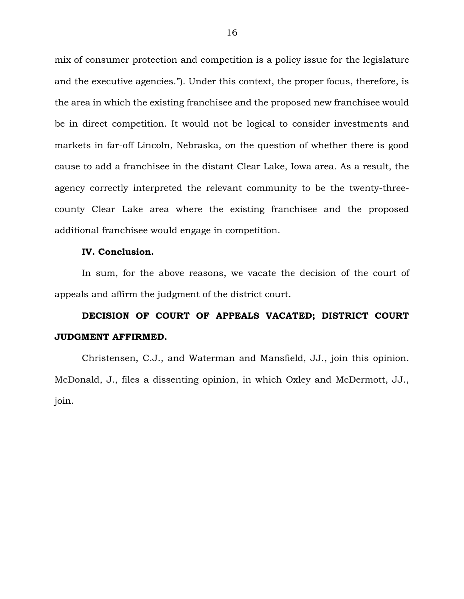mix of consumer protection and competition is a policy issue for the legislature and the executive agencies."). Under this context, the proper focus, therefore, is the area in which the existing franchisee and the proposed new franchisee would be in direct competition. It would not be logical to consider investments and markets in far-off Lincoln, Nebraska, on the question of whether there is good cause to add a franchisee in the distant Clear Lake, Iowa area. As a result, the agency correctly interpreted the relevant community to be the twenty-threecounty Clear Lake area where the existing franchisee and the proposed additional franchisee would engage in competition.

#### **IV. Conclusion.**

In sum, for the above reasons, we vacate the decision of the court of appeals and affirm the judgment of the district court.

# **DECISION OF COURT OF APPEALS VACATED; DISTRICT COURT JUDGMENT AFFIRMED.**

Christensen, C.J., and Waterman and Mansfield, JJ., join this opinion. McDonald, J., files a dissenting opinion, in which Oxley and McDermott, JJ., join.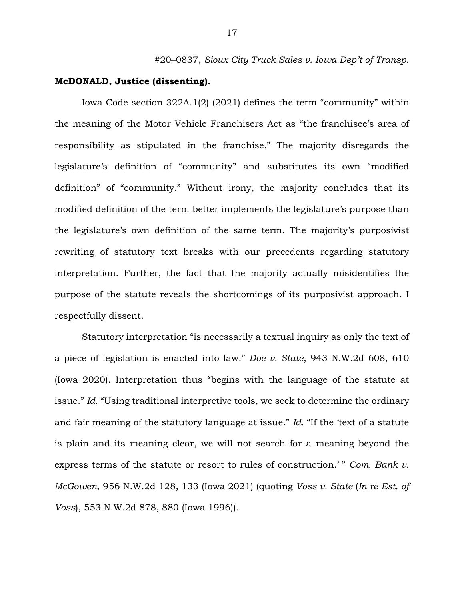#20–0837, *Sioux City Truck Sales v. Iowa Dep't of Transp.*

## **McDONALD, Justice (dissenting).**

Iowa Code section 322A.1(2) (2021) defines the term "community" within the meaning of the Motor Vehicle Franchisers Act as "the franchisee's area of responsibility as stipulated in the franchise." The majority disregards the legislature's definition of "community" and substitutes its own "modified definition" of "community." Without irony, the majority concludes that its modified definition of the term better implements the legislature's purpose than the legislature's own definition of the same term. The majority's purposivist rewriting of statutory text breaks with our precedents regarding statutory interpretation. Further, the fact that the majority actually misidentifies the purpose of the statute reveals the shortcomings of its purposivist approach. I respectfully dissent.

Statutory interpretation "is necessarily a textual inquiry as only the text of a piece of legislation is enacted into law." *Doe v. State*, 943 N.W.2d 608, 610 (Iowa 2020). Interpretation thus "begins with the language of the statute at issue." *Id.* "Using traditional interpretive tools, we seek to determine the ordinary and fair meaning of the statutory language at issue." *Id.* "If the 'text of a statute is plain and its meaning clear, we will not search for a meaning beyond the express terms of the statute or resort to rules of construction.'" Com. Bank v. *McGowen*, 956 N.W.2d 128, 133 (Iowa 2021) (quoting *Voss v. State* (*In re Est. of Voss*), 553 N.W.2d 878, 880 (Iowa 1996)).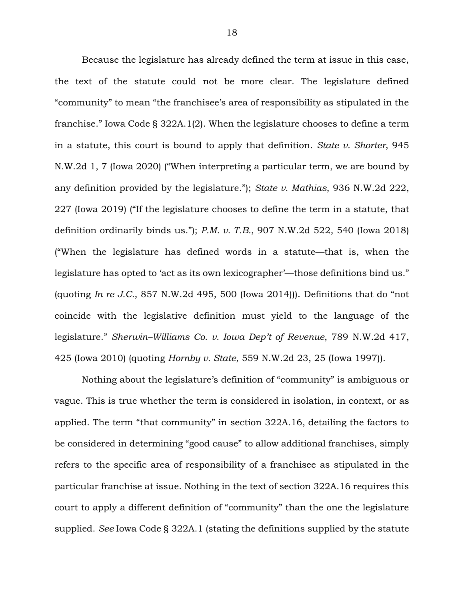Because the legislature has already defined the term at issue in this case, the text of the statute could not be more clear. The legislature defined "community" to mean "the franchisee's area of responsibility as stipulated in the franchise." Iowa Code § 322A.1(2). When the legislature chooses to define a term in a statute, this court is bound to apply that definition. *State v. Shorter*, 945 N.W.2d 1, 7 (Iowa 2020) ("When interpreting a particular term, we are bound by any definition provided by the legislature."); *State v. Mathias*, 936 N.W.2d 222, 227 (Iowa 2019) ("If the legislature chooses to define the term in a statute, that definition ordinarily binds us."); *P.M. v. T.B.*, 907 N.W.2d 522, 540 (Iowa 2018) ("When the legislature has defined words in a statute—that is, when the legislature has opted to 'act as its own lexicographer'—those definitions bind us." (quoting *In re J.C.*, 857 N.W.2d 495, 500 (Iowa 2014))). Definitions that do "not coincide with the legislative definition must yield to the language of the legislature." *Sherwin–Williams Co. v. Iowa Dep't of Revenue*, 789 N.W.2d 417, 425 (Iowa 2010) (quoting *Hornby v. State*, 559 N.W.2d 23, 25 (Iowa 1997)).

Nothing about the legislature's definition of "community" is ambiguous or vague. This is true whether the term is considered in isolation, in context, or as applied. The term "that community" in section 322A.16, detailing the factors to be considered in determining "good cause" to allow additional franchises, simply refers to the specific area of responsibility of a franchisee as stipulated in the particular franchise at issue. Nothing in the text of section 322A.16 requires this court to apply a different definition of "community" than the one the legislature supplied. *See* Iowa Code § 322A.1 (stating the definitions supplied by the statute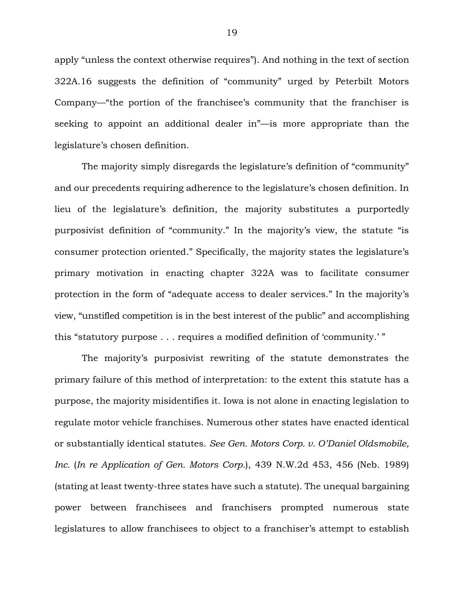apply "unless the context otherwise requires"). And nothing in the text of section 322A.16 suggests the definition of "community" urged by Peterbilt Motors Company—"the portion of the franchisee's community that the franchiser is seeking to appoint an additional dealer in"—is more appropriate than the legislature's chosen definition.

The majority simply disregards the legislature's definition of "community" and our precedents requiring adherence to the legislature's chosen definition. In lieu of the legislature's definition, the majority substitutes a purportedly purposivist definition of "community." In the majority's view, the statute "is consumer protection oriented." Specifically, the majority states the legislature's primary motivation in enacting chapter 322A was to facilitate consumer protection in the form of "adequate access to dealer services." In the majority's view, "unstifled competition is in the best interest of the public" and accomplishing this "statutory purpose . . . requires a modified definition of 'community.' "

The majority's purposivist rewriting of the statute demonstrates the primary failure of this method of interpretation: to the extent this statute has a purpose, the majority misidentifies it. Iowa is not alone in enacting legislation to regulate motor vehicle franchises. Numerous other states have enacted identical or substantially identical statutes. *See Gen. Motors Corp. v. O'Daniel Oldsmobile, Inc.* (*In re Application of Gen. Motors Corp.*), 439 N.W.2d 453, 456 (Neb. 1989) (stating at least twenty-three states have such a statute). The unequal bargaining power between franchisees and franchisers prompted numerous state legislatures to allow franchisees to object to a franchiser's attempt to establish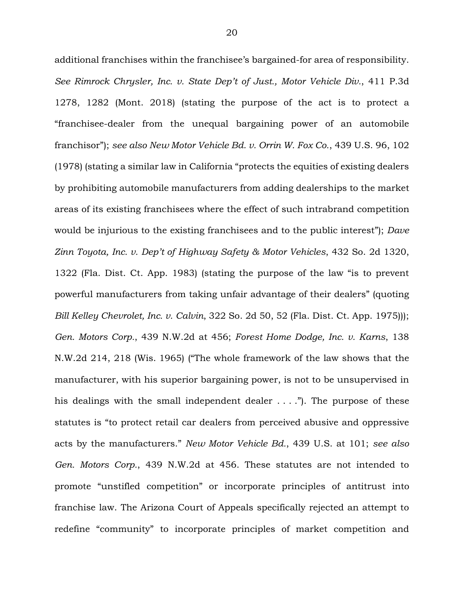additional franchises within the franchisee's bargained-for area of responsibility. *See Rimrock Chrysler, Inc. v. State Dep't of Just., Motor Vehicle Div.*, 411 P.3d 1278, 1282 (Mont. 2018) (stating the purpose of the act is to protect a "franchisee-dealer from the unequal bargaining power of an automobile franchisor"); *see also New Motor Vehicle Bd. v. Orrin W. Fox Co.*, 439 U.S. 96, 102 (1978) (stating a similar law in California "protects the equities of existing dealers by prohibiting automobile manufacturers from adding dealerships to the market areas of its existing franchisees where the effect of such intrabrand competition would be injurious to the existing franchisees and to the public interest"); *Dave Zinn Toyota, Inc. v. Dep't of Highway Safety & Motor Vehicles*, 432 So. 2d 1320, 1322 (Fla. Dist. Ct. App. 1983) (stating the purpose of the law "is to prevent powerful manufacturers from taking unfair advantage of their dealers" (quoting *Bill Kelley Chevrolet, Inc. v. Calvin*, 322 So. 2d 50, 52 (Fla. Dist. Ct. App. 1975))); *Gen. Motors Corp.*, 439 N.W.2d at 456; *Forest Home Dodge, Inc. v. Karns*, 138 N.W.2d 214, 218 (Wis. 1965) ("The whole framework of the law shows that the manufacturer, with his superior bargaining power, is not to be unsupervised in his dealings with the small independent dealer  $\dots$ ."). The purpose of these statutes is "to protect retail car dealers from perceived abusive and oppressive acts by the manufacturers." *New Motor Vehicle Bd.*, 439 U.S. at 101; *see also Gen. Motors Corp.*, 439 N.W.2d at 456. These statutes are not intended to promote "unstifled competition" or incorporate principles of antitrust into franchise law. The Arizona Court of Appeals specifically rejected an attempt to redefine "community" to incorporate principles of market competition and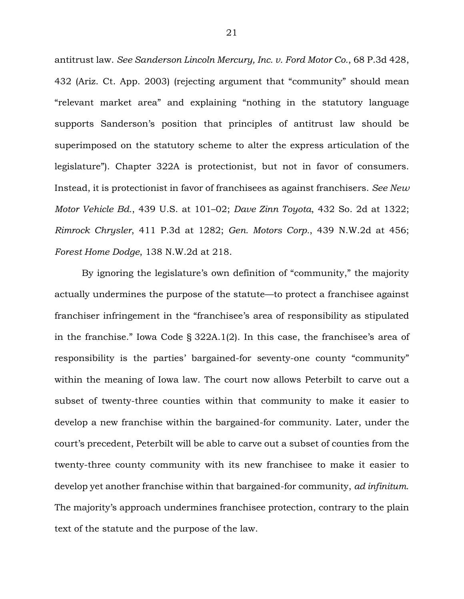antitrust law. *See Sanderson Lincoln Mercury, Inc. v. Ford Motor Co.*, 68 P.3d 428, 432 (Ariz. Ct. App. 2003) (rejecting argument that "community" should mean "relevant market area" and explaining "nothing in the statutory language supports Sanderson's position that principles of antitrust law should be superimposed on the statutory scheme to alter the express articulation of the legislature"). Chapter 322A is protectionist, but not in favor of consumers. Instead, it is protectionist in favor of franchisees as against franchisers. *See New Motor Vehicle Bd.*, 439 U.S. at 101–02; *Dave Zinn Toyota*, 432 So. 2d at 1322; *Rimrock Chrysler*, 411 P.3d at 1282; *Gen. Motors Corp.*, 439 N.W.2d at 456; *Forest Home Dodge*, 138 N.W.2d at 218.

By ignoring the legislature's own definition of "community," the majority actually undermines the purpose of the statute—to protect a franchisee against franchiser infringement in the "franchisee's area of responsibility as stipulated in the franchise." Iowa Code § 322A.1(2). In this case, the franchisee's area of responsibility is the parties' bargained-for seventy-one county "community" within the meaning of Iowa law. The court now allows Peterbilt to carve out a subset of twenty-three counties within that community to make it easier to develop a new franchise within the bargained-for community. Later, under the court's precedent, Peterbilt will be able to carve out a subset of counties from the twenty-three county community with its new franchisee to make it easier to develop yet another franchise within that bargained-for community, *ad infinitum*. The majority's approach undermines franchisee protection, contrary to the plain text of the statute and the purpose of the law.